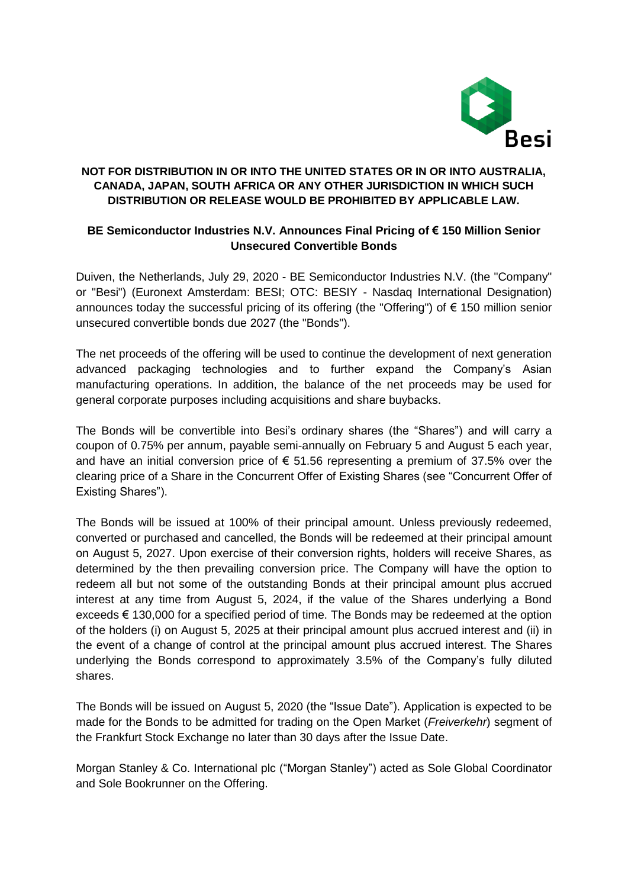

## **NOT FOR DISTRIBUTION IN OR INTO THE UNITED STATES OR IN OR INTO AUSTRALIA, CANADA, JAPAN, SOUTH AFRICA OR ANY OTHER JURISDICTION IN WHICH SUCH DISTRIBUTION OR RELEASE WOULD BE PROHIBITED BY APPLICABLE LAW.**

# **BE Semiconductor Industries N.V. Announces Final Pricing of € 150 Million Senior Unsecured Convertible Bonds**

Duiven, the Netherlands, July 29, 2020 - BE Semiconductor Industries N.V. (the "Company" or "Besi") (Euronext Amsterdam: BESI; OTC: BESIY - Nasdaq International Designation) announces today the successful pricing of its offering (the "Offering") of € 150 million senior unsecured convertible bonds due 2027 (the "Bonds").

The net proceeds of the offering will be used to continue the development of next generation advanced packaging technologies and to further expand the Company's Asian manufacturing operations. In addition, the balance of the net proceeds may be used for general corporate purposes including acquisitions and share buybacks.

The Bonds will be convertible into Besi's ordinary shares (the "Shares") and will carry a coupon of 0.75% per annum, payable semi-annually on February 5 and August 5 each year, and have an initial conversion price of  $\epsilon$  51.56 representing a premium of 37.5% over the clearing price of a Share in the Concurrent Offer of Existing Shares (see "Concurrent Offer of Existing Shares").

The Bonds will be issued at 100% of their principal amount. Unless previously redeemed, converted or purchased and cancelled, the Bonds will be redeemed at their principal amount on August 5, 2027. Upon exercise of their conversion rights, holders will receive Shares, as determined by the then prevailing conversion price. The Company will have the option to redeem all but not some of the outstanding Bonds at their principal amount plus accrued interest at any time from August 5, 2024, if the value of the Shares underlying a Bond exceeds € 130,000 for a specified period of time. The Bonds may be redeemed at the option of the holders (i) on August 5, 2025 at their principal amount plus accrued interest and (ii) in the event of a change of control at the principal amount plus accrued interest. The Shares underlying the Bonds correspond to approximately 3.5% of the Company's fully diluted shares.

The Bonds will be issued on August 5, 2020 (the "Issue Date"). Application is expected to be made for the Bonds to be admitted for trading on the Open Market (*Freiverkehr*) segment of the Frankfurt Stock Exchange no later than 30 days after the Issue Date.

Morgan Stanley & Co. International plc ("Morgan Stanley") acted as Sole Global Coordinator and Sole Bookrunner on the Offering.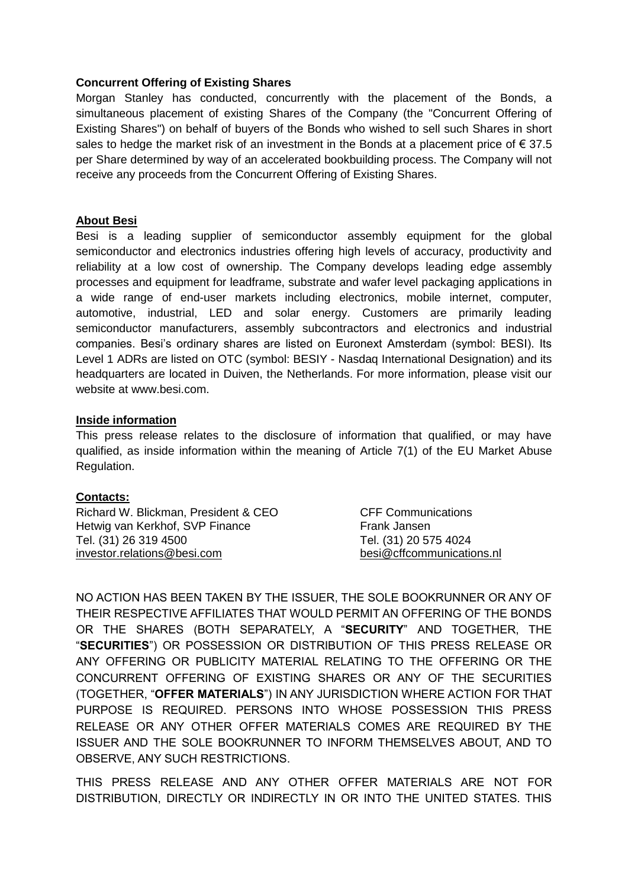## **Concurrent Offering of Existing Shares**

Morgan Stanley has conducted, concurrently with the placement of the Bonds, a simultaneous placement of existing Shares of the Company (the "Concurrent Offering of Existing Shares") on behalf of buyers of the Bonds who wished to sell such Shares in short sales to hedge the market risk of an investment in the Bonds at a placement price of  $\epsilon$  37.5 per Share determined by way of an accelerated bookbuilding process. The Company will not receive any proceeds from the Concurrent Offering of Existing Shares.

#### **About Besi**

Besi is a leading supplier of semiconductor assembly equipment for the global semiconductor and electronics industries offering high levels of accuracy, productivity and reliability at a low cost of ownership. The Company develops leading edge assembly processes and equipment for leadframe, substrate and wafer level packaging applications in a wide range of end-user markets including electronics, mobile internet, computer, automotive, industrial, LED and solar energy. Customers are primarily leading semiconductor manufacturers, assembly subcontractors and electronics and industrial companies. Besi's ordinary shares are listed on Euronext Amsterdam (symbol: BESI). Its Level 1 ADRs are listed on OTC (symbol: BESIY - Nasdaq International Designation) and its headquarters are located in Duiven, the Netherlands. For more information, please visit our website at www.besi.com.

#### **Inside information**

This press release relates to the disclosure of information that qualified, or may have qualified, as inside information within the meaning of Article 7(1) of the EU Market Abuse Regulation.

## **Contacts:**

| Richard W. Blickman, President & CEO | <b>CFF Communications</b> |
|--------------------------------------|---------------------------|
| Hetwig van Kerkhof, SVP Finance      | Frank Jansen              |
| Tel. (31) 26 319 4500                | Tel. (31) 20 575 4024     |
| investor.relations@besi.com          | besi@cffcommunications.nl |

NO ACTION HAS BEEN TAKEN BY THE ISSUER, THE SOLE BOOKRUNNER OR ANY OF THEIR RESPECTIVE AFFILIATES THAT WOULD PERMIT AN OFFERING OF THE BONDS OR THE SHARES (BOTH SEPARATELY, A "**SECURITY**" AND TOGETHER, THE "**SECURITIES**") OR POSSESSION OR DISTRIBUTION OF THIS PRESS RELEASE OR ANY OFFERING OR PUBLICITY MATERIAL RELATING TO THE OFFERING OR THE CONCURRENT OFFERING OF EXISTING SHARES OR ANY OF THE SECURITIES (TOGETHER, "**OFFER MATERIALS**") IN ANY JURISDICTION WHERE ACTION FOR THAT PURPOSE IS REQUIRED. PERSONS INTO WHOSE POSSESSION THIS PRESS RELEASE OR ANY OTHER OFFER MATERIALS COMES ARE REQUIRED BY THE ISSUER AND THE SOLE BOOKRUNNER TO INFORM THEMSELVES ABOUT, AND TO OBSERVE, ANY SUCH RESTRICTIONS.

THIS PRESS RELEASE AND ANY OTHER OFFER MATERIALS ARE NOT FOR DISTRIBUTION, DIRECTLY OR INDIRECTLY IN OR INTO THE UNITED STATES. THIS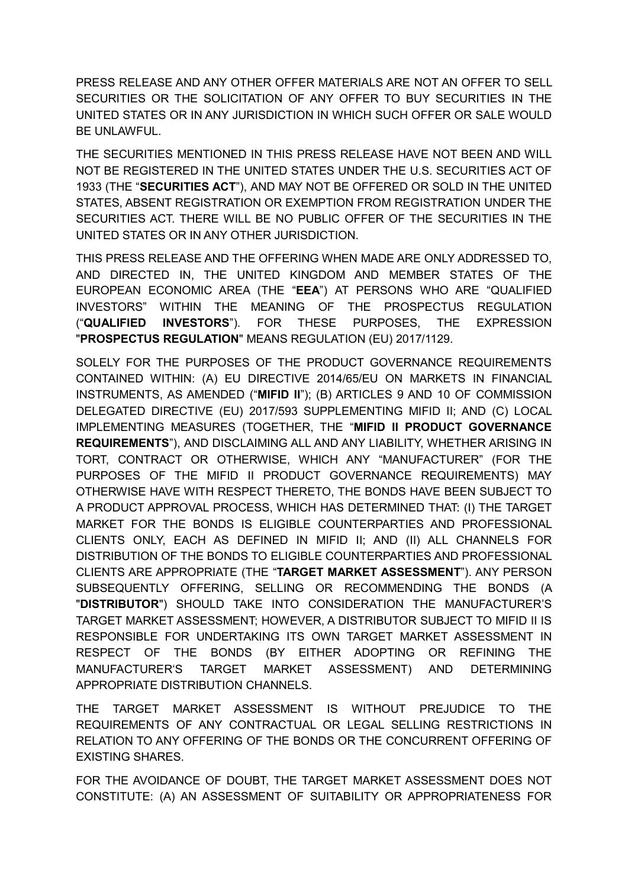PRESS RELEASE AND ANY OTHER OFFER MATERIALS ARE NOT AN OFFER TO SELL SECURITIES OR THE SOLICITATION OF ANY OFFER TO BUY SECURITIES IN THE UNITED STATES OR IN ANY JURISDICTION IN WHICH SUCH OFFER OR SALE WOULD BE UNLAWFUL.

THE SECURITIES MENTIONED IN THIS PRESS RELEASE HAVE NOT BEEN AND WILL NOT BE REGISTERED IN THE UNITED STATES UNDER THE U.S. SECURITIES ACT OF 1933 (THE "**SECURITIES ACT**"), AND MAY NOT BE OFFERED OR SOLD IN THE UNITED STATES, ABSENT REGISTRATION OR EXEMPTION FROM REGISTRATION UNDER THE SECURITIES ACT. THERE WILL BE NO PUBLIC OFFER OF THE SECURITIES IN THE UNITED STATES OR IN ANY OTHER JURISDICTION.

THIS PRESS RELEASE AND THE OFFERING WHEN MADE ARE ONLY ADDRESSED TO, AND DIRECTED IN, THE UNITED KINGDOM AND MEMBER STATES OF THE EUROPEAN ECONOMIC AREA (THE "**EEA**") AT PERSONS WHO ARE "QUALIFIED INVESTORS" WITHIN THE MEANING OF THE PROSPECTUS REGULATION ("**QUALIFIED INVESTORS**"). FOR THESE PURPOSES, THE EXPRESSION "**PROSPECTUS REGULATION**" MEANS REGULATION (EU) 2017/1129.

SOLELY FOR THE PURPOSES OF THE PRODUCT GOVERNANCE REQUIREMENTS CONTAINED WITHIN: (A) EU DIRECTIVE 2014/65/EU ON MARKETS IN FINANCIAL INSTRUMENTS, AS AMENDED ("**MIFID II**"); (B) ARTICLES 9 AND 10 OF COMMISSION DELEGATED DIRECTIVE (EU) 2017/593 SUPPLEMENTING MIFID II; AND (C) LOCAL IMPLEMENTING MEASURES (TOGETHER, THE "**MIFID II PRODUCT GOVERNANCE REQUIREMENTS**"), AND DISCLAIMING ALL AND ANY LIABILITY, WHETHER ARISING IN TORT, CONTRACT OR OTHERWISE, WHICH ANY "MANUFACTURER" (FOR THE PURPOSES OF THE MIFID II PRODUCT GOVERNANCE REQUIREMENTS) MAY OTHERWISE HAVE WITH RESPECT THERETO, THE BONDS HAVE BEEN SUBJECT TO A PRODUCT APPROVAL PROCESS, WHICH HAS DETERMINED THAT: (I) THE TARGET MARKET FOR THE BONDS IS ELIGIBLE COUNTERPARTIES AND PROFESSIONAL CLIENTS ONLY, EACH AS DEFINED IN MIFID II; AND (II) ALL CHANNELS FOR DISTRIBUTION OF THE BONDS TO ELIGIBLE COUNTERPARTIES AND PROFESSIONAL CLIENTS ARE APPROPRIATE (THE "**TARGET MARKET ASSESSMENT**"). ANY PERSON SUBSEQUENTLY OFFERING, SELLING OR RECOMMENDING THE BONDS (A "**DISTRIBUTOR**") SHOULD TAKE INTO CONSIDERATION THE MANUFACTURER'S TARGET MARKET ASSESSMENT; HOWEVER, A DISTRIBUTOR SUBJECT TO MIFID II IS RESPONSIBLE FOR UNDERTAKING ITS OWN TARGET MARKET ASSESSMENT IN RESPECT OF THE BONDS (BY EITHER ADOPTING OR REFINING THE MANUFACTURER'S TARGET MARKET ASSESSMENT) AND DETERMINING APPROPRIATE DISTRIBUTION CHANNELS.

THE TARGET MARKET ASSESSMENT IS WITHOUT PREJUDICE TO THE REQUIREMENTS OF ANY CONTRACTUAL OR LEGAL SELLING RESTRICTIONS IN RELATION TO ANY OFFERING OF THE BONDS OR THE CONCURRENT OFFERING OF EXISTING SHARES.

FOR THE AVOIDANCE OF DOUBT, THE TARGET MARKET ASSESSMENT DOES NOT CONSTITUTE: (A) AN ASSESSMENT OF SUITABILITY OR APPROPRIATENESS FOR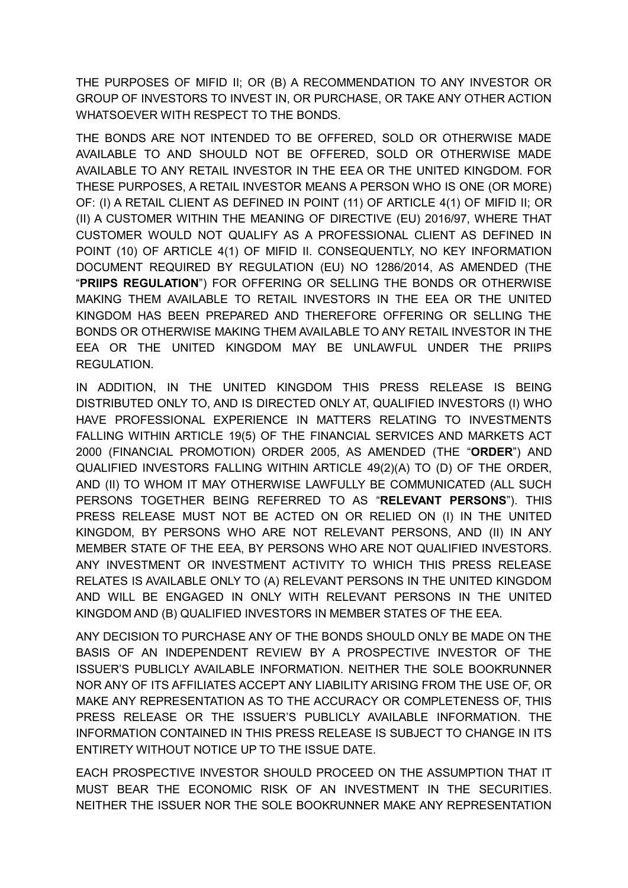THE PURPOSES OF MIFID II; OR (B) A RECOMMENDATION TO ANY INVESTOR OR GROUP OF INVESTORS TO INVEST IN, OR PURCHASE, OR TAKE ANY OTHER ACTION WHATSOEVER WITH RESPECT TO THE BONDS.

THE BONDS ARE NOT INTENDED TO BE OFFERED, SOLD OR OTHERWISE MADE AVAILABLE TO AND SHOULD NOT BE OFFERED, SOLD OR OTHERWISE MADE AVAILABLE TO ANY RETAIL INVESTOR IN THE EEA OR THE UNITED KINGDOM. FOR THESE PURPOSES, A RETAIL INVESTOR MEANS A PERSON WHO IS ONE (OR MORE) OF: (I) A RETAIL CLIENT AS DEFINED IN POINT (11) OF ARTICLE 4(1) OF MIFID II; OR (II) A CUSTOMER WITHIN THE MEANING OF DIRECTIVE (EU) 2016/97, WHERE THAT CUSTOMER WOULD NOT QUALIFY AS A PROFESSIONAL CLIENT AS DEFINED IN POINT (10) OF ARTICLE 4(1) OF MIFID II. CONSEQUENTLY, NO KEY INFORMATION DOCUMENT REQUIRED BY REGULATION (EU) NO 1286/2014, AS AMENDED (THE "**PRIIPS REGULATION**") FOR OFFERING OR SELLING THE BONDS OR OTHERWISE MAKING THEM AVAILABLE TO RETAIL INVESTORS IN THE EEA OR THE UNITED KINGDOM HAS BEEN PREPARED AND THEREFORE OFFERING OR SELLING THE BONDS OR OTHERWISE MAKING THEM AVAILABLE TO ANY RETAIL INVESTOR IN THE EEA OR THE UNITED KINGDOM MAY BE UNLAWFUL UNDER THE PRIIPS REGULATION.

IN ADDITION, IN THE UNITED KINGDOM THIS PRESS RELEASE IS BEING DISTRIBUTED ONLY TO, AND IS DIRECTED ONLY AT, QUALIFIED INVESTORS (I) WHO HAVE PROFESSIONAL EXPERIENCE IN MATTERS RELATING TO INVESTMENTS FALLING WITHIN ARTICLE 19(5) OF THE FINANCIAL SERVICES AND MARKETS ACT 2000 (FINANCIAL PROMOTION) ORDER 2005, AS AMENDED (THE "**ORDER**") AND QUALIFIED INVESTORS FALLING WITHIN ARTICLE 49(2)(A) TO (D) OF THE ORDER, AND (II) TO WHOM IT MAY OTHERWISE LAWFULLY BE COMMUNICATED (ALL SUCH PERSONS TOGETHER BEING REFERRED TO AS "**RELEVANT PERSONS**"). THIS PRESS RELEASE MUST NOT BE ACTED ON OR RELIED ON (I) IN THE UNITED KINGDOM, BY PERSONS WHO ARE NOT RELEVANT PERSONS, AND (II) IN ANY MEMBER STATE OF THE EEA, BY PERSONS WHO ARE NOT QUALIFIED INVESTORS. ANY INVESTMENT OR INVESTMENT ACTIVITY TO WHICH THIS PRESS RELEASE RELATES IS AVAILABLE ONLY TO (A) RELEVANT PERSONS IN THE UNITED KINGDOM AND WILL BE ENGAGED IN ONLY WITH RELEVANT PERSONS IN THE UNITED KINGDOM AND (B) QUALIFIED INVESTORS IN MEMBER STATES OF THE EEA.

ANY DECISION TO PURCHASE ANY OF THE BONDS SHOULD ONLY BE MADE ON THE BASIS OF AN INDEPENDENT REVIEW BY A PROSPECTIVE INVESTOR OF THE ISSUER'S PUBLICLY AVAILABLE INFORMATION. NEITHER THE SOLE BOOKRUNNER NOR ANY OF ITS AFFILIATES ACCEPT ANY LIABILITY ARISING FROM THE USE OF, OR MAKE ANY REPRESENTATION AS TO THE ACCURACY OR COMPLETENESS OF, THIS PRESS RELEASE OR THE ISSUER'S PUBLICLY AVAILABLE INFORMATION. THE INFORMATION CONTAINED IN THIS PRESS RELEASE IS SUBJECT TO CHANGE IN ITS ENTIRETY WITHOUT NOTICE UP TO THE ISSUE DATE.

EACH PROSPECTIVE INVESTOR SHOULD PROCEED ON THE ASSUMPTION THAT IT MUST BEAR THE ECONOMIC RISK OF AN INVESTMENT IN THE SECURITIES. NEITHER THE ISSUER NOR THE SOLE BOOKRUNNER MAKE ANY REPRESENTATION